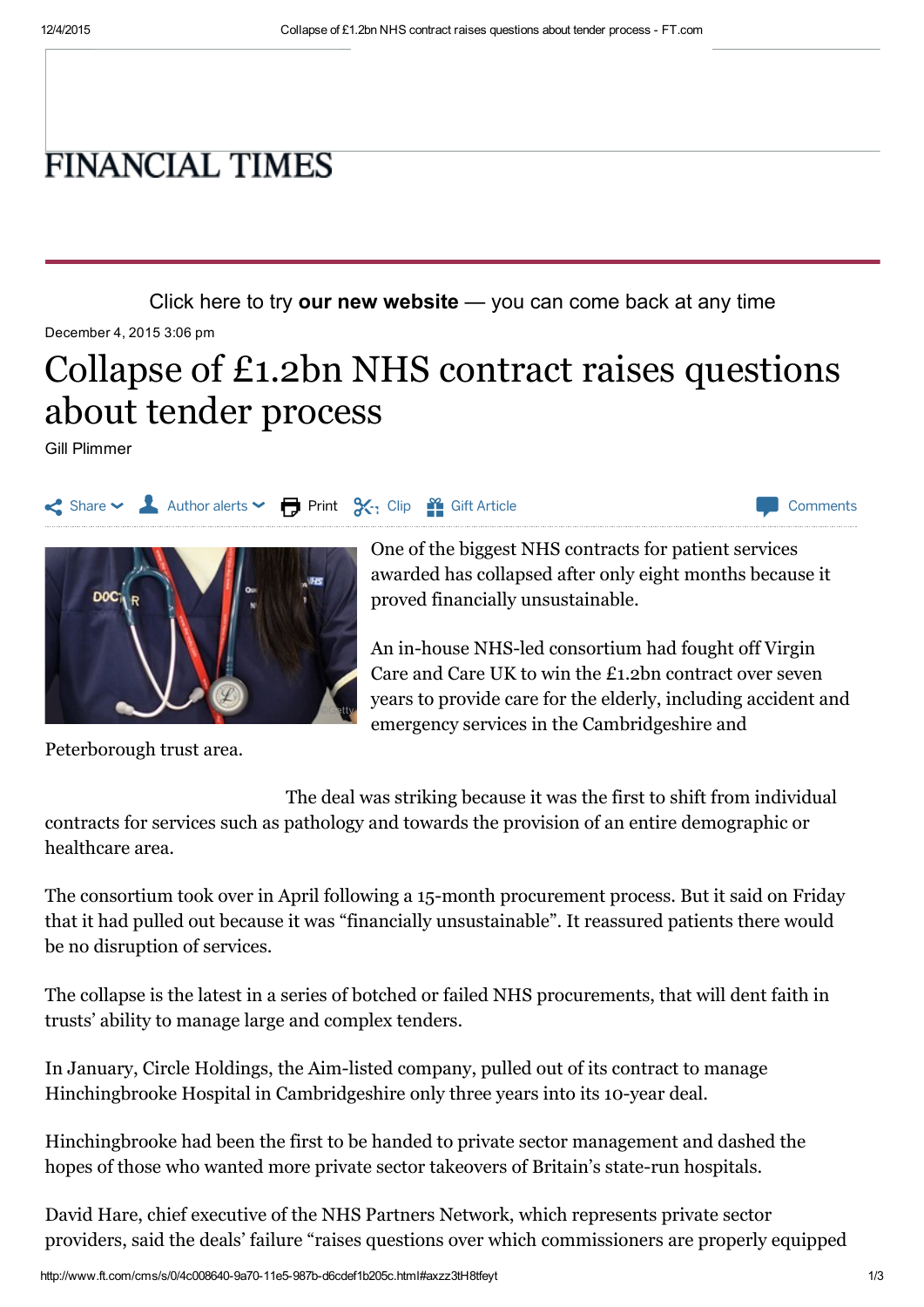## **FINANCIAL TIMES**

Click here to try our new [website](http://next.ft.com/__opt-in?optedvia=button) — you can come back at any time

December 4, 2015 3:06 pm

## Collapse of £1.2bn NHS contract raises questions about tender process

Gill Plimmer



One of the biggest NHS [contracts](http://www.ft.com/cms/s/0/79a5ca8e-4958-11e4-8d68-00144feab7de.html#axzz3sxMNFV00) for patient services awarded has collapsed after only eight months because it

An in-house NHS-led [consortium](http://www.ft.com/cms/s/0/efb5de5a-8b81-11e5-8be4-3506bf20cc2b.html#axzz3tH8tfeyt) had fought off Virgin Care and Care UK to win the £1.2bn contract over seven years to provide care for the elderly, including accident and emergency services in the Cambridgeshire and

Peterborough trust area.

The deal was striking because it was the first to shift from individual contracts for services such as pathology and towards the provision of an entire demographic or healthcare area.

The consortium took over in April following a 15-month procurement process. But it said on Friday that it had pulled out because it was "financially unsustainable". It reassured patients there would be no disruption of services.

The collapse is the latest in a series of botched or failed NHS procurements, that will dent faith in trusts' ability to manage large and complex tenders.

In January, Circle Holdings, the Aim-listed company, pulled out of its contract to manage [Hinchingbrooke](http://www.ft.com/cms/s/3/e7121a0a-97f5-11e4-84d4-00144feabdc0.html#axzz3sxMNFV00) Hospital in Cambridgeshire only three years into its 10-year deal.

Hinchingbrooke had been the first to be handed to private sector management and dashed the hopes of those who wanted more private sector takeovers of Britain's state-run hospitals.

David Hare, chief executive of the NHS Partners Network, which represents private sector providers, said the deals' failure "raises questions over which commissioners are properly equipped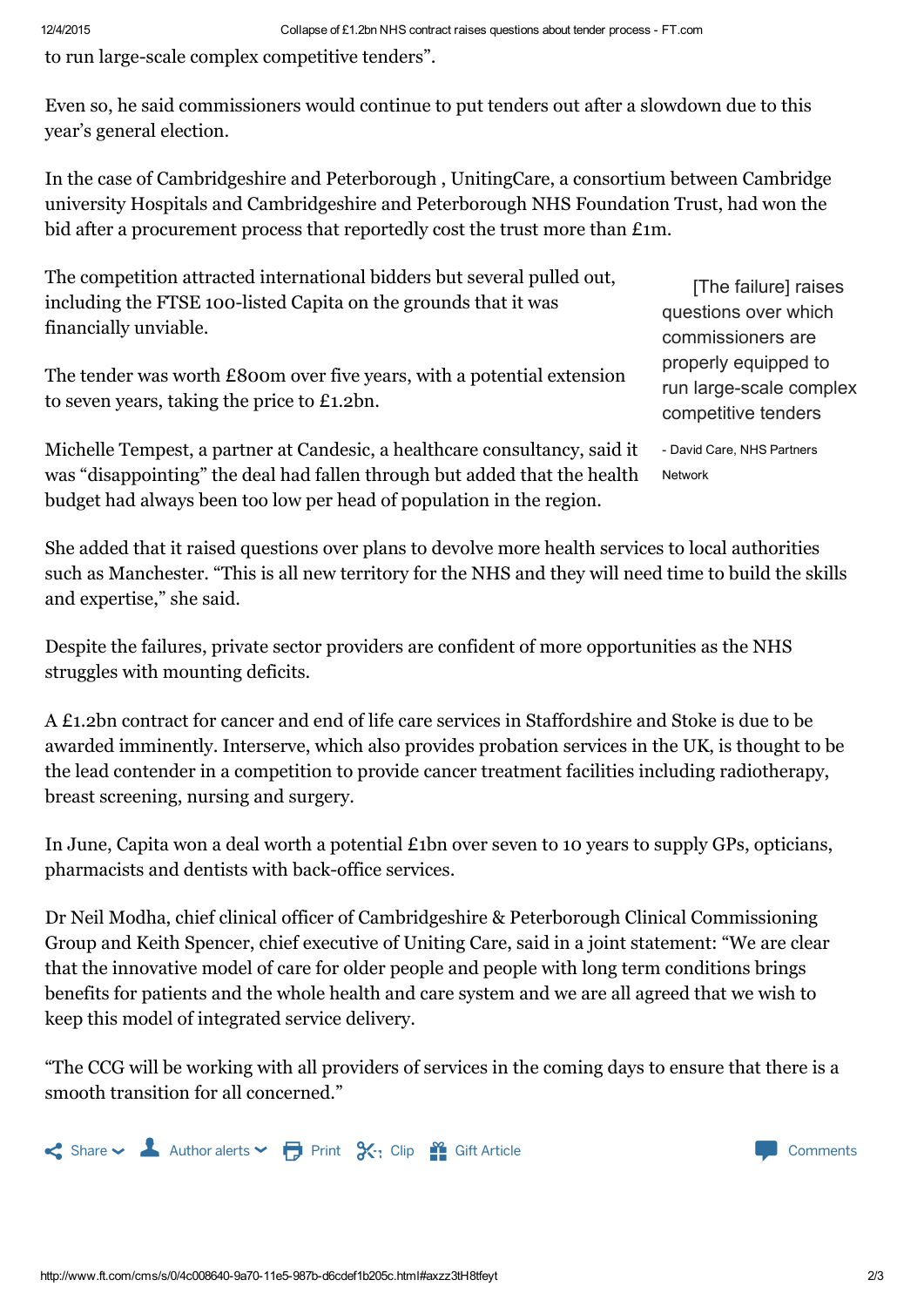to run large-scale complex competitive tenders".

Even so, he said commissioners would continue to put tenders out after a slowdown due to this year's general election.

In the case of [Cambridgeshire](http://www.ft.com/cms/s/0/112e93c4-a77c-11e3-9c7d-00144feab7de.html#axzz3tH8tfeyt) and Peterborough , UnitingCare, a consortium between Cambridge university Hospitals and Cambridgeshire and Peterborough NHS Foundation Trust, had won the bid after a procurement process that reportedly cost the trust more than £1m.

The competition attracted international bidders but several pulled out, including the FTSE 100-listed Capita on the grounds that it was financially unviable.

The tender was worth £800m over five years, with a potential extension to seven years, taking the price to £1.2bn.

Michelle Tempest, a partner at Candesic, a healthcare consultancy, said it was "disappointing" the deal had fallen through but added that the health budget had always been too low per head of population in the region.

[The failure] raises questions over which commissioners are properly equipped to run large-scale complex competitive tenders

 David Care, NHS Partners Network

She added that it raised questions over plans to devolve more health services to local authorities such as Manchester. "This is all new territory for the NHS and they will need time to build the skills and expertise," she said.

Despite the failures, private sector providers are confident of more opportunities as the NHS struggles with mounting deficits.

A £1.2bn contract for cancer and end of life care services in Staffordshire and Stoke is due to be awarded imminently. Interserve, which also provides probation services in the UK, is thought to be the lead contender in a competition to provide cancer treatment facilities including radiotherapy, breast screening, nursing and surgery.

In June, Capita won a deal worth a potential £1bn over seven to 10 years to supply GPs, opticians, pharmacists and dentists with back-office services.

Dr Neil Modha, chief clinical officer of Cambridgeshire & Peterborough Clinical Commissioning Group and Keith Spencer, chief executive of Uniting Care, said in a joint statement: "We are clear that the innovative model of care for older people and people with long term conditions brings benefits for patients and the whole health and care system and we are all agreed that we wish to keep this model of integrated service delivery.

"The CCG will be working with all providers of services in the coming days to ensure that there is a smooth transition for all concerned."



http://www.ft.com/cms/s/0/4c008640-9a70-11e5-987b-d6cdef1b205c.html#axzz3tH8tfeyt 2/3